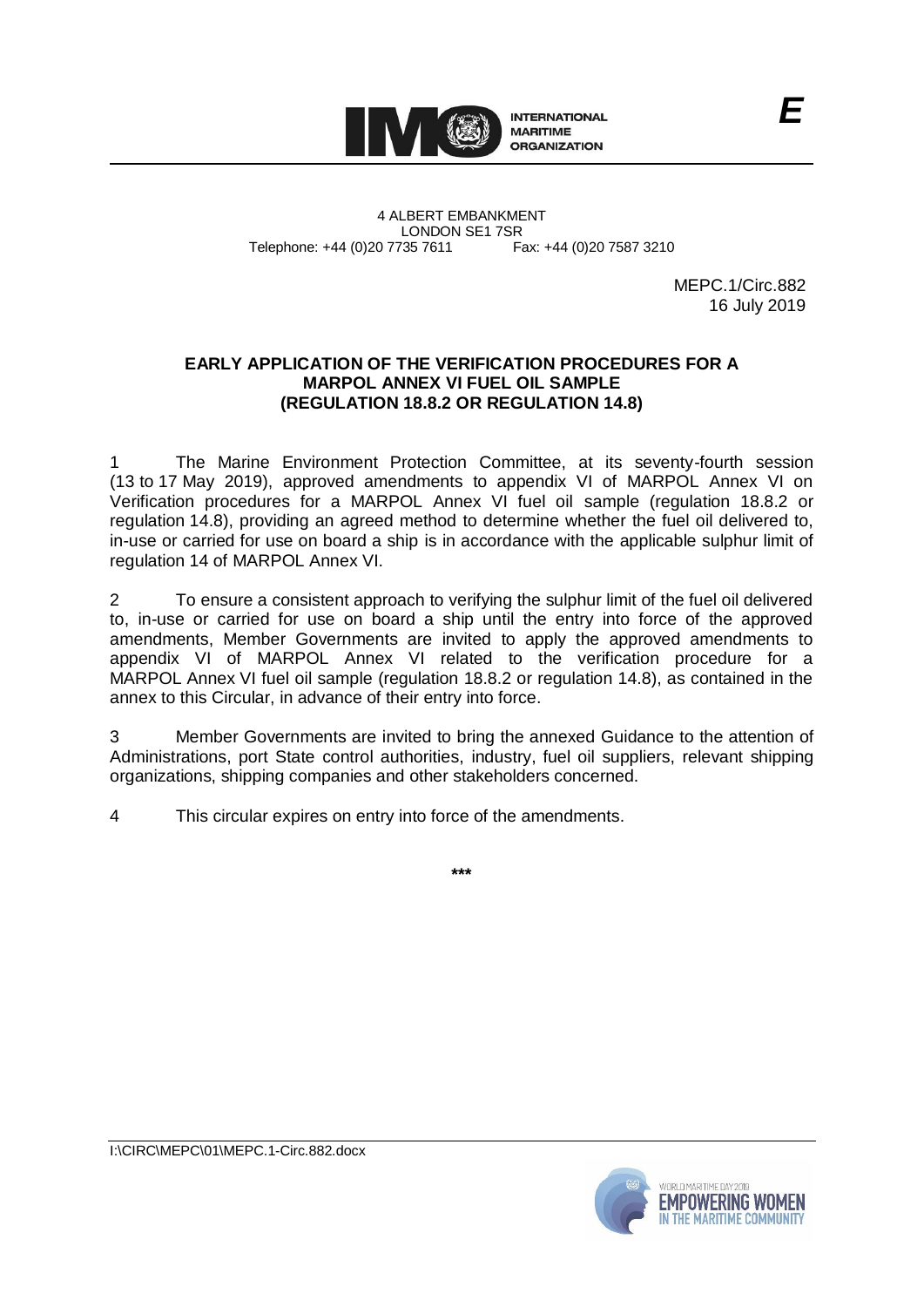

4 ALBERT EMBANKMENT Telephone: +44 (0)20 7735 7611

LONDON SE1 7SR<br>735 7611 Fax: +44 (0)20 7587 3210

MEPC.1/Circ.882 16 July 2019

# **EARLY APPLICATION OF THE VERIFICATION PROCEDURES FOR A MARPOL ANNEX VI FUEL OIL SAMPLE (REGULATION 18.8.2 OR REGULATION 14.8)**

The Marine Environment Protection Committee, at its seventy-fourth session (13 to 17 May 2019), approved amendments to appendix VI of MARPOL Annex VI on Verification procedures for a MARPOL Annex VI fuel oil sample (regulation 18.8.2 or regulation 14.8), providing an agreed method to determine whether the fuel oil delivered to, in-use or carried for use on board a ship is in accordance with the applicable sulphur limit of regulation 14 of MARPOL Annex VI.

2 To ensure a consistent approach to verifying the sulphur limit of the fuel oil delivered to, in-use or carried for use on board a ship until the entry into force of the approved amendments, Member Governments are invited to apply the approved amendments to appendix VI of MARPOL Annex VI related to the verification procedure for a MARPOL Annex VI fuel oil sample (regulation 18.8.2 or regulation 14.8), as contained in the annex to this Circular, in advance of their entry into force.

3 Member Governments are invited to bring the annexed Guidance to the attention of Administrations, port State control authorities, industry, fuel oil suppliers, relevant shipping organizations, shipping companies and other stakeholders concerned.

4 This circular expires on entry into force of the amendments.

**\*\*\***



I:\CIRC\MEPC\01\MEPC.1-Circ.882.docx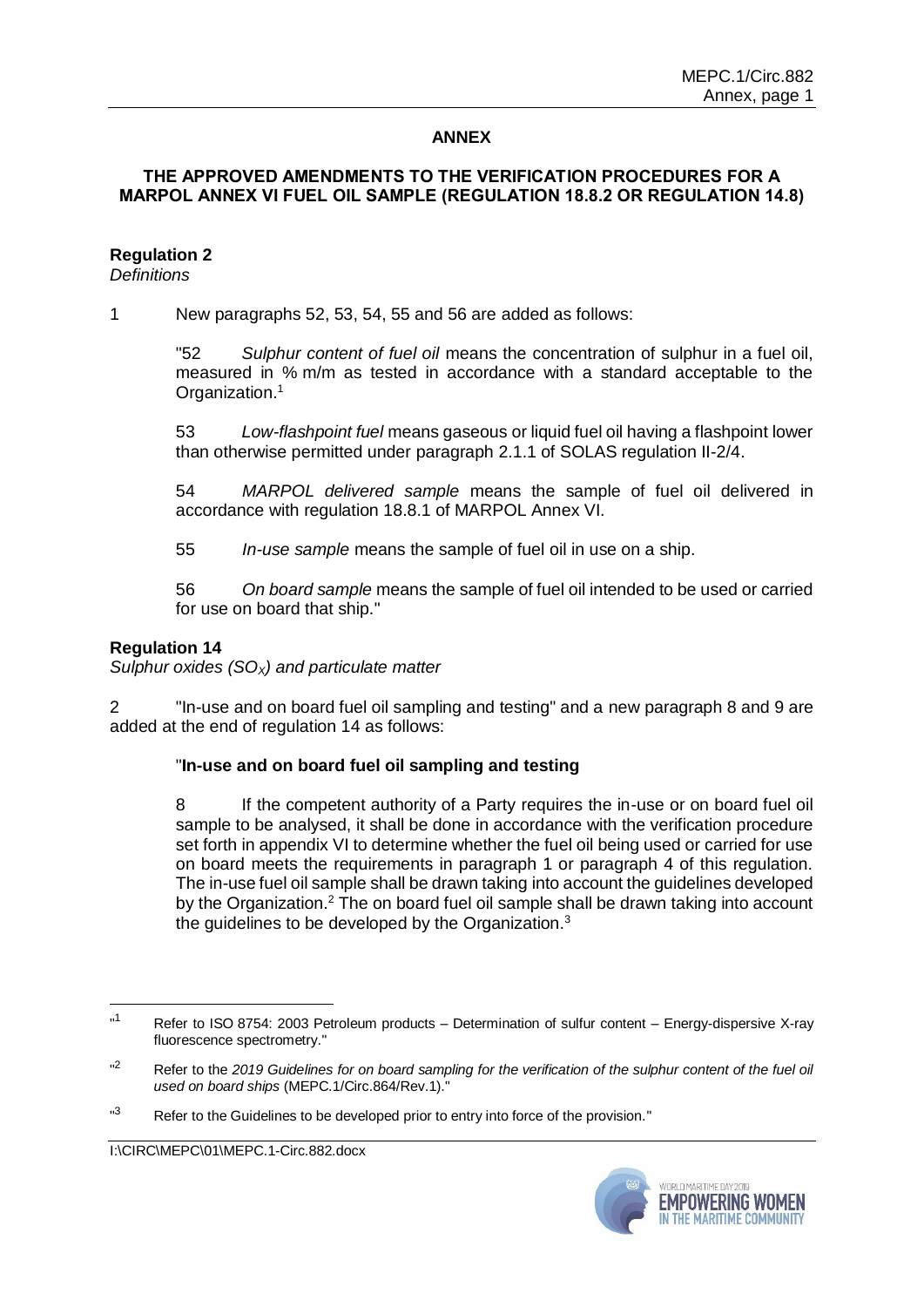# **ANNEX**

# **THE APPROVED AMENDMENTS TO THE VERIFICATION PROCEDURES FOR A MARPOL ANNEX VI FUEL OIL SAMPLE (REGULATION 18.8.2 OR REGULATION 14.8)**

# **Regulation 2**

*Definitions*

1 New paragraphs 52, 53, 54, 55 and 56 are added as follows:

"52 *Sulphur content of fuel oil* means the concentration of sulphur in a fuel oil, measured in % m/m as tested in accordance with a standard acceptable to the Organization.<sup>1</sup>

53 *Low-flashpoint fuel* means gaseous or liquid fuel oil having a flashpoint lower than otherwise permitted under paragraph 2.1.1 of SOLAS regulation II-2/4.

54 *MARPOL delivered sample* means the sample of fuel oil delivered in accordance with regulation 18.8.1 of MARPOL Annex VI.

55 *In-use sample* means the sample of fuel oil in use on a ship.

56 *On board sample* means the sample of fuel oil intended to be used or carried for use on board that ship."

# **Regulation 14**

1

*Sulphur oxides (SOX) and particulate matter*

2 "In-use and on board fuel oil sampling and testing" and a new paragraph 8 and 9 are added at the end of regulation 14 as follows:

### "**In-use and on board fuel oil sampling and testing**

8 If the competent authority of a Party requires the in-use or on board fuel oil sample to be analysed, it shall be done in accordance with the verification procedure set forth in appendix VI to determine whether the fuel oil being used or carried for use on board meets the requirements in paragraph 1 or paragraph 4 of this regulation. The in-use fuel oil sample shall be drawn taking into account the guidelines developed by the Organization.<sup>2</sup> The on board fuel oil sample shall be drawn taking into account the quidelines to be developed by the Organization.<sup>3</sup>



 $n<sub>1</sub>$ Refer to ISO 8754: 2003 Petroleum products – Determination of sulfur content – Energy-dispersive X-ray fluorescence spectrometry."

 $n^2$ <sup>2</sup> Refer to the *2019 Guidelines for on board sampling for the verification of the sulphur content of the fuel oil used on board ships* (MEPC.1/Circ.864/Rev.1)."

<sup>&</sup>quot;3 Refer to the Guidelines to be developed prior to entry into force of the provision."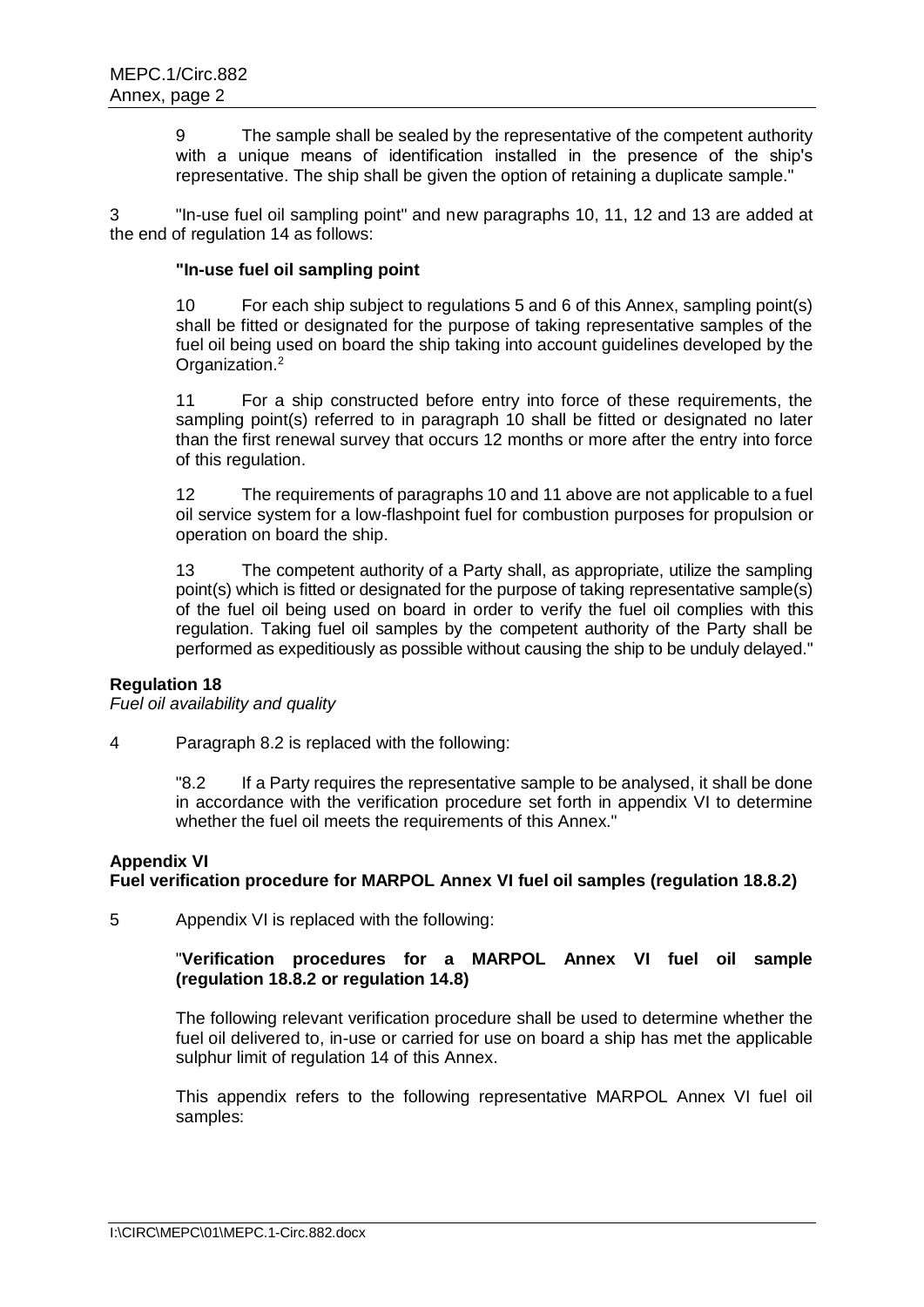9 The sample shall be sealed by the representative of the competent authority with a unique means of identification installed in the presence of the ship's representative. The ship shall be given the option of retaining a duplicate sample."

3 "In-use fuel oil sampling point" and new paragraphs 10, 11, 12 and 13 are added at the end of regulation 14 as follows:

### **"In-use fuel oil sampling point**

10 For each ship subject to regulations 5 and 6 of this Annex, sampling point(s) shall be fitted or designated for the purpose of taking representative samples of the fuel oil being used on board the ship taking into account guidelines developed by the Organization.<sup>2</sup>

11 For a ship constructed before entry into force of these requirements, the sampling point(s) referred to in paragraph 10 shall be fitted or designated no later than the first renewal survey that occurs 12 months or more after the entry into force of this regulation.

12 The requirements of paragraphs 10 and 11 above are not applicable to a fuel oil service system for a low-flashpoint fuel for combustion purposes for propulsion or operation on board the ship.

13 The competent authority of a Party shall, as appropriate, utilize the sampling point(s) which is fitted or designated for the purpose of taking representative sample(s) of the fuel oil being used on board in order to verify the fuel oil complies with this regulation. Taking fuel oil samples by the competent authority of the Party shall be performed as expeditiously as possible without causing the ship to be unduly delayed."

#### **Regulation 18**

*Fuel oil availability and quality*

4 Paragraph 8.2 is replaced with the following:

"8.2 If a Party requires the representative sample to be analysed, it shall be done in accordance with the verification procedure set forth in appendix VI to determine whether the fuel oil meets the requirements of this Annex."

#### **Appendix VI**

### **Fuel verification procedure for MARPOL Annex VI fuel oil samples (regulation 18.8.2)**

5 Appendix VI is replaced with the following:

# "**Verification procedures for a MARPOL Annex VI fuel oil sample (regulation 18.8.2 or regulation 14.8)**

The following relevant verification procedure shall be used to determine whether the fuel oil delivered to, in-use or carried for use on board a ship has met the applicable sulphur limit of regulation 14 of this Annex.

This appendix refers to the following representative MARPOL Annex VI fuel oil samples: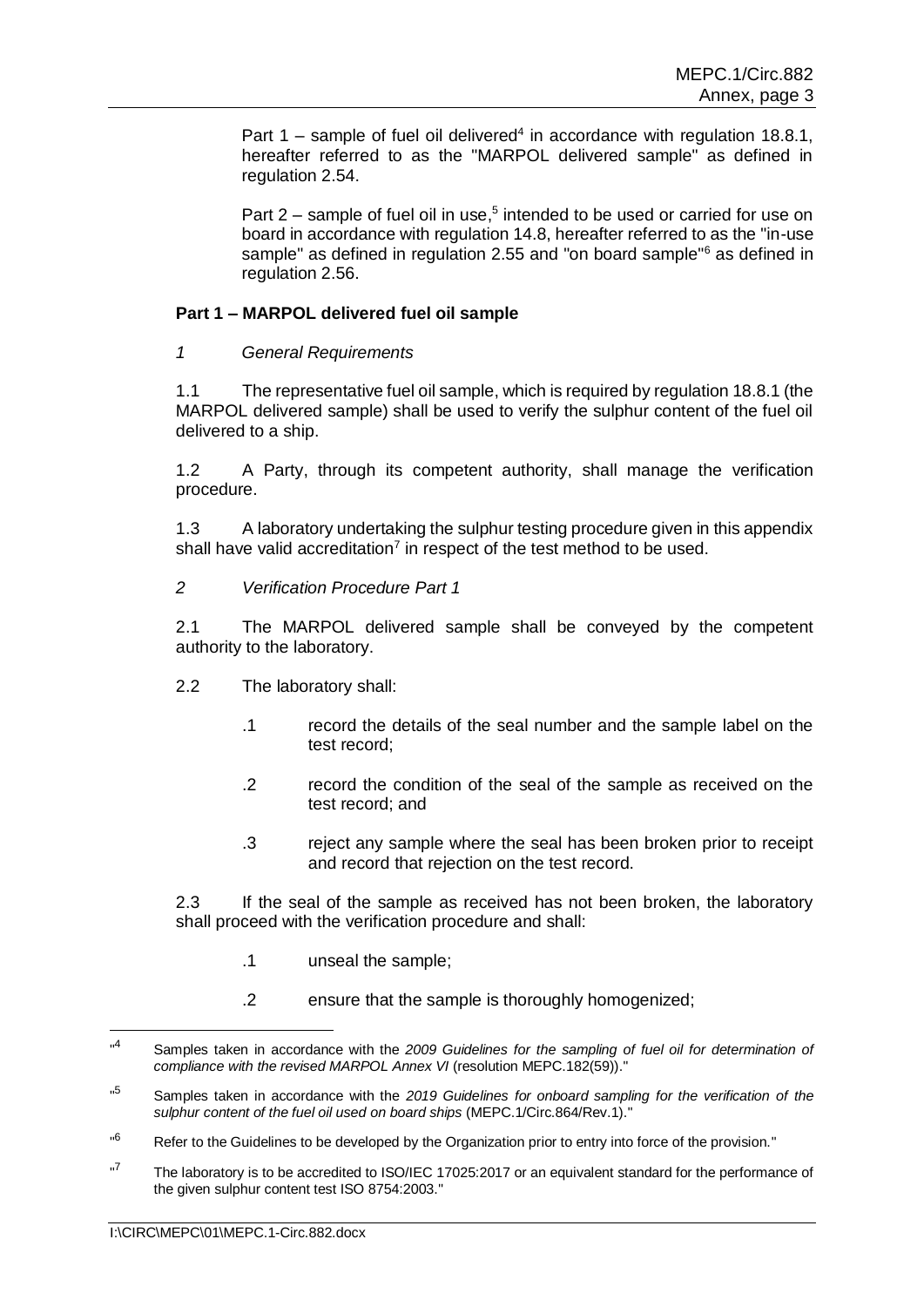Part  $1$  – sample of fuel oil delivered<sup>4</sup> in accordance with regulation 18.8.1, hereafter referred to as the "MARPOL delivered sample" as defined in regulation 2.54.

Part  $2$  – sample of fuel oil in use,<sup>5</sup> intended to be used or carried for use on board in accordance with regulation 14.8, hereafter referred to as the "in-use sample" as defined in regulation 2.55 and "on board sample"<sup>6</sup> as defined in regulation 2.56.

### **Part 1 – MARPOL delivered fuel oil sample**

*1 General Requirements*

1.1 The representative fuel oil sample, which is required by regulation 18.8.1 (the MARPOL delivered sample) shall be used to verify the sulphur content of the fuel oil delivered to a ship.

1.2 A Party, through its competent authority, shall manage the verification procedure.

1.3 A laboratory undertaking the sulphur testing procedure given in this appendix shall have valid accreditation<sup>7</sup> in respect of the test method to be used.

*2 Verification Procedure Part 1* 

2.1 The MARPOL delivered sample shall be conveyed by the competent authority to the laboratory.

- 2.2 The laboratory shall:
	- .1 record the details of the seal number and the sample label on the test record;
	- .2 record the condition of the seal of the sample as received on the test record; and
	- .3 reject any sample where the seal has been broken prior to receipt and record that rejection on the test record.

2.3 If the seal of the sample as received has not been broken, the laboratory shall proceed with the verification procedure and shall:

- .1 unseal the sample;
- .2 ensure that the sample is thoroughly homogenized;

-

 $\mathbf{A}$ <sup>4</sup> Samples taken in accordance with the *2009 Guidelines for the sampling of fuel oil for determination of compliance with the revised MARPOL Annex VI* (resolution MEPC.182(59))."

<sup>&</sup>quot;5 <sup>5</sup> Samples taken in accordance with the *2019 Guidelines for onboard sampling for the verification of the sulphur content of the fuel oil used on board ships* (MEPC.1/Circ.864/Rev.1)."

<sup>&</sup>quot;6 Refer to the Guidelines to be developed by the Organization prior to entry into force of the provision."

<sup>&</sup>quot; <sup>7</sup> The laboratory is to be accredited to ISO/IEC 17025:2017 or an equivalent standard for the performance of the given sulphur content test ISO 8754:2003."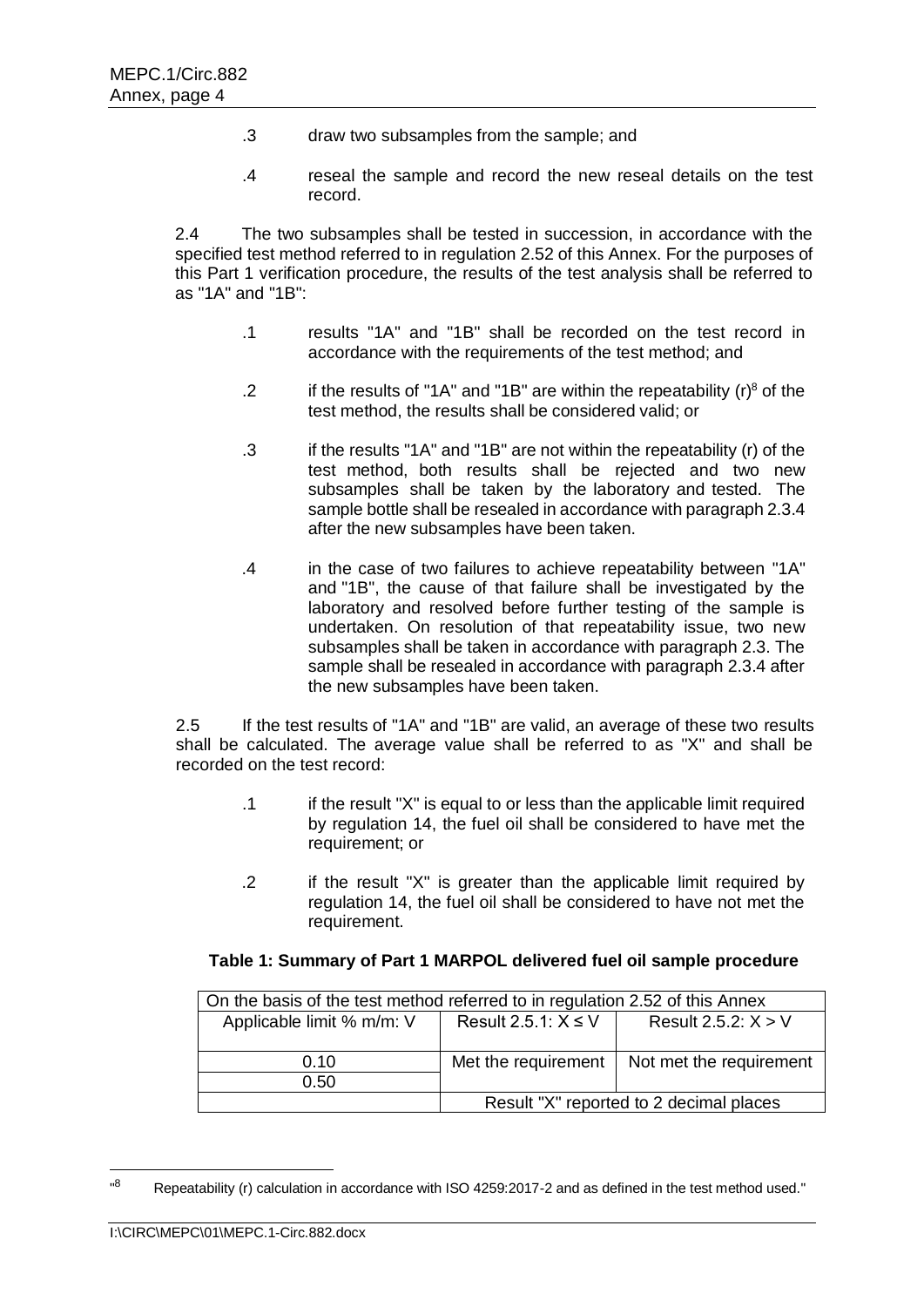- .3 draw two subsamples from the sample; and
- .4 reseal the sample and record the new reseal details on the test record.

2.4 The two subsamples shall be tested in succession, in accordance with the specified test method referred to in regulation 2.52 of this Annex. For the purposes of this Part 1 verification procedure, the results of the test analysis shall be referred to as "1A" and "1B":

- .1 results "1A" and "1B" shall be recorded on the test record in accordance with the requirements of the test method; and
- .2 if the results of "1A" and "1B" are within the repeatability  $(r)^8$  of the test method, the results shall be considered valid; or
- .3 if the results "1A" and "1B" are not within the repeatability (r) of the test method, both results shall be rejected and two new subsamples shall be taken by the laboratory and tested. The sample bottle shall be resealed in accordance with paragraph 2.3.4 after the new subsamples have been taken.
- .4 in the case of two failures to achieve repeatability between "1A" and "1B", the cause of that failure shall be investigated by the laboratory and resolved before further testing of the sample is undertaken. On resolution of that repeatability issue, two new subsamples shall be taken in accordance with paragraph 2.3. The sample shall be resealed in accordance with paragraph 2.3.4 after the new subsamples have been taken.

2.5 If the test results of "1A" and "1B" are valid, an average of these two results shall be calculated. The average value shall be referred to as "X" and shall be recorded on the test record:

- .1 if the result "X" is equal to or less than the applicable limit required by regulation 14, the fuel oil shall be considered to have met the requirement; or
- .2 if the result "X" is greater than the applicable limit required by regulation 14, the fuel oil shall be considered to have not met the requirement.

### **Table 1: Summary of Part 1 MARPOL delivered fuel oil sample procedure**

| On the basis of the test method referred to in regulation 2.52 of this Annex |                                         |                         |  |  |
|------------------------------------------------------------------------------|-----------------------------------------|-------------------------|--|--|
| Applicable limit % m/m: V                                                    | Result 2.5.1: $X \leq V$                | Result 2.5.2: $X > V$   |  |  |
|                                                                              |                                         |                         |  |  |
| 0.10                                                                         | Met the requirement                     | Not met the requirement |  |  |
| 0.50                                                                         |                                         |                         |  |  |
|                                                                              | Result "X" reported to 2 decimal places |                         |  |  |

<sup>&</sup>quot;8 Repeatability (r) calculation in accordance with ISO 4259:2017-2 and as defined in the test method used."

1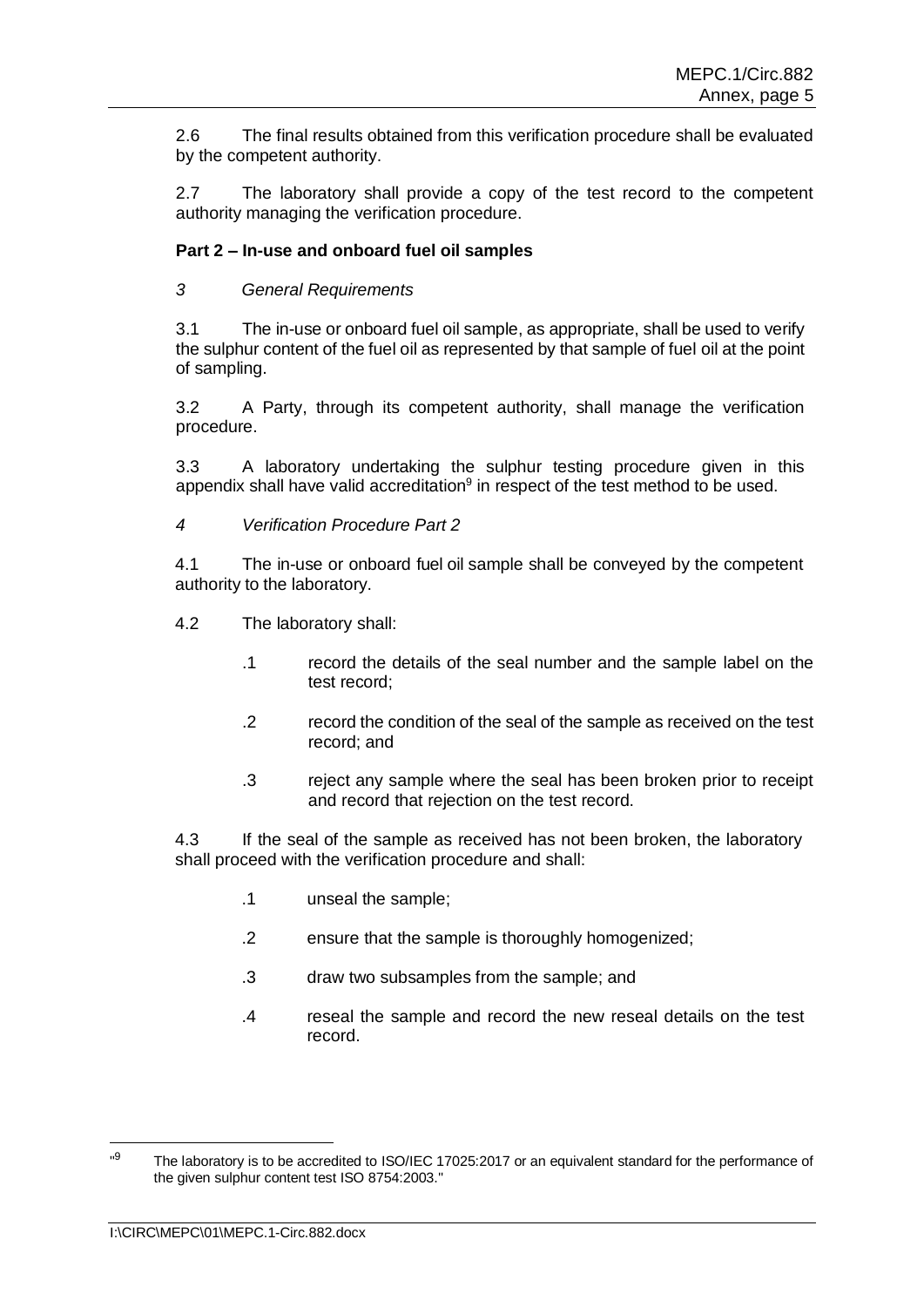2.6 The final results obtained from this verification procedure shall be evaluated by the competent authority.

2.7 The laboratory shall provide a copy of the test record to the competent authority managing the verification procedure.

# **Part 2 – In-use and onboard fuel oil samples**

*3 General Requirements*

3.1 The in-use or onboard fuel oil sample, as appropriate, shall be used to verify the sulphur content of the fuel oil as represented by that sample of fuel oil at the point of sampling.

3.2 A Party, through its competent authority, shall manage the verification procedure.

3.3 A laboratory undertaking the sulphur testing procedure given in this appendix shall have valid accreditation $9$  in respect of the test method to be used.

*4 Verification Procedure Part 2*

4.1 The in-use or onboard fuel oil sample shall be conveyed by the competent authority to the laboratory.

- 4.2 The laboratory shall:
	- .1 record the details of the seal number and the sample label on the test record;
	- .2 record the condition of the seal of the sample as received on the test record; and
	- .3 reject any sample where the seal has been broken prior to receipt and record that rejection on the test record.

4.3 If the seal of the sample as received has not been broken, the laboratory shall proceed with the verification procedure and shall:

- .1 unseal the sample;
- .2 ensure that the sample is thoroughly homogenized;
- .3 draw two subsamples from the sample; and
- .4 reseal the sample and record the new reseal details on the test record.

1

<sup>..</sup>q The laboratory is to be accredited to ISO/IEC 17025:2017 or an equivalent standard for the performance of the given sulphur content test ISO 8754:2003."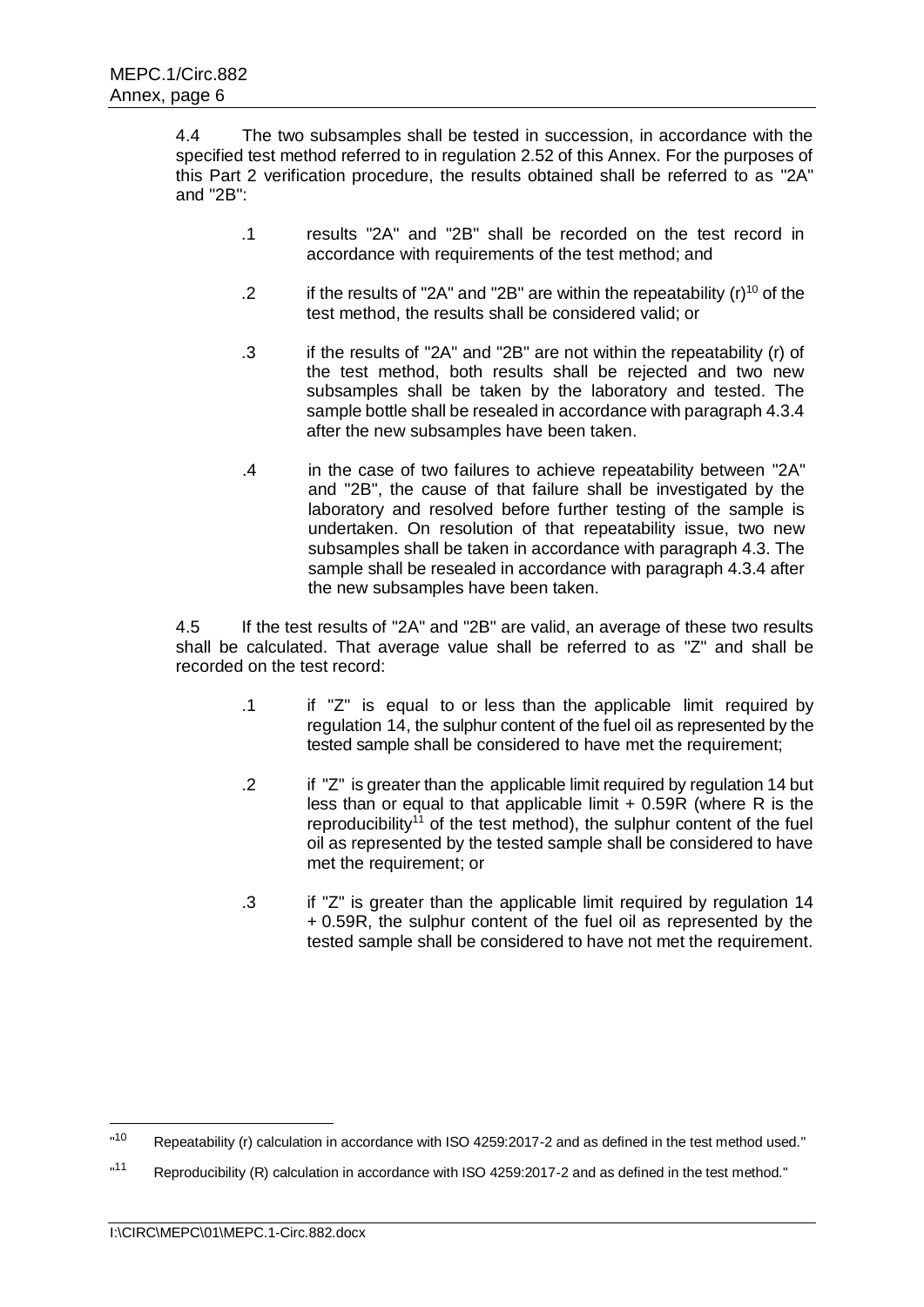4.4 The two subsamples shall be tested in succession, in accordance with the specified test method referred to in regulation 2.52 of this Annex. For the purposes of this Part 2 verification procedure, the results obtained shall be referred to as "2A" and "2B":

- .1 results "2A" and "2B" shall be recorded on the test record in accordance with requirements of the test method; and
- .2 if the results of "2A" and "2B" are within the repeatability  $(r)^{10}$  of the test method, the results shall be considered valid; or
- .3 if the results of "2A" and "2B" are not within the repeatability (r) of the test method, both results shall be rejected and two new subsamples shall be taken by the laboratory and tested. The sample bottle shall be resealed in accordance with paragraph 4.3.4 after the new subsamples have been taken.
- .4 in the case of two failures to achieve repeatability between "2A" and "2B", the cause of that failure shall be investigated by the laboratory and resolved before further testing of the sample is undertaken. On resolution of that repeatability issue, two new subsamples shall be taken in accordance with paragraph 4.3. The sample shall be resealed in accordance with paragraph 4.3.4 after the new subsamples have been taken.

4.5 If the test results of "2A" and "2B" are valid, an average of these two results shall be calculated. That average value shall be referred to as "Z" and shall be recorded on the test record:

- .1 if "Z" is equal to or less than the applicable limit required by regulation 14, the sulphur content of the fuel oil as represented by the tested sample shall be considered to have met the requirement;
- .2 if "Z" is greater than the applicable limit required by regulation 14 but less than or equal to that applicable limit  $+$  0.59R (where R is the reproducibility<sup>11</sup> of the test method), the sulphur content of the fuel oil as represented by the tested sample shall be considered to have met the requirement; or
- .3 if "Z" is greater than the applicable limit required by regulation 14 + 0.59R, the sulphur content of the fuel oil as represented by the tested sample shall be considered to have not met the requirement.

1

 $n10$ Repeatability (r) calculation in accordance with ISO 4259:2017-2 and as defined in the test method used."

 $n11$ Reproducibility (R) calculation in accordance with ISO 4259:2017-2 and as defined in the test method."